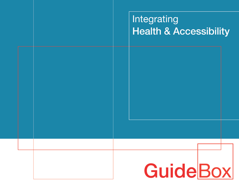# Integrating **Health & Accessibility**

# **GuideBox**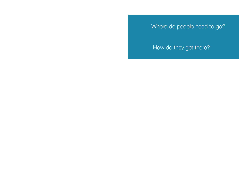Where do people need to go?

How do they get there?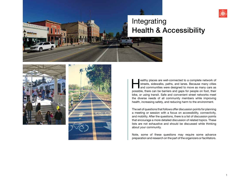

# Integrating Health & Accessibility

 $-1$ 





ealthy places are well-connected to a complete network of streets, sidewalks, paths, and lanes. Because many cities and communities were designed to move as many cars as possible, there can be barriers and gaps for people streets, sidewalks, paths, and lanes. Because many cities and communities were designed to move as many cars as possible, there can be barriers and gaps for people on foot, their bike, or using transit. Safe and convenient street networks meet the diverse needs of all community members while improving health, increasing safety, and reducing harm to the environment.

The set of questions that follows offer discussion points for planning a meeting or session with a focus on accessibility, connectivity, and mobility. After the questions, there is a list of discussion points that encourage a more detailed discussion of related topics. These lists are not exhaustive and should be discussed while thinking about your community.

Note, some of these questions may require some advance preparation and research on the part of the organizers or facilitators.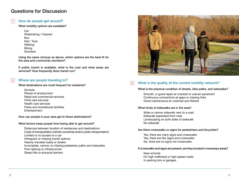### Questions for Discussion

#### How do people get around?  $|1|$

#### What mobility options are available?

Car Ridesharing / Carpool Bus Rail / Train Walking Biking **Scooters** 

Using the same choices as above, which options are the best fit for the area and community members?

If public transit is available, what is the cost and what areas are serviced? How frequently does transit run?

#### Where are people traveling to? 2

What destinations are most frequent for residents?

**Schools** Places of employment Retail and commercial services Child care services Health care services Parks and recreational facilities **Entertainment** 

How can people in your area get to these destinations?

What factors keep people from being able to get around?

Distances between location of residences and destinations Costs of transportation (vehicle ownership and/or public transportation) Limited or no access to a car Infrequent or missing transit options Heavily-traveled roads or streets Incomplete, narrow, or missing pedestrian paths and sidewalks Poor lighting or infrastructure Steep hills or physical barriers



#### What is the quality of the current mobility network? | 3 |

#### What is the physical condition of streets, bike paths, and sidewalks?

Smooth, in good repair *or* cracked or uneven pavement Continuous connections *or* gaps or missing links Good maintenance *or* unkempt and littered

#### What kinds of sidewalks are in the area?

Wide or narrow sidewalk next to a road Sidewalk separated from road Landscaping on both sides of sidewalk No sidewalk

#### Are there crosswalks or signs for pedestrians and bicyclists?

Yes, there are many signs and crosswalks Yes, there are few signs and crosswalks No, there are no signs not crosswalks

#### If crosswalks and signs are present, are they located in necessary areas?

Near schools On high-trafficked or high-speed roads In parking lots or garages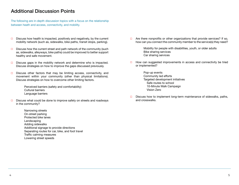## Additional Discussion Points

The following are in-depth discussion topics with a focus on the relationship between heath and access, connectivity, and mobility.

- $\Box$ Discuss how health is impacted, positively and negatively, by the current mobility network (such as, sidewalks, bike paths, transit stops, parking).
- Discuss how the current street and path network of the community (such  $\Box$ as, sidewalks, alleyways, bike paths) could be improved to better support healthy and safe movement.
- Discuss gaps in the mobility network and determine who is impacted.  $\Box$ Discuss strategies on how to improve the gaps discussed previously.
- $\Box$ Discuss other factors that may be limiting access, connectivity, and movement within your community (other than physical limitations). Discuss strategies on how to overcome other limiting factors.

Perceived barriers (safety and comfortability) Cultural barriers Language barriers

- Discuss what could be done to improve safety on streets and roadways  $\Box$ in the community?
	- Narrowing streets On-street parking Protected bike lanes Landscaping Adding sidewalks Additional signage to provide directions Separating routes for car, bike, and foot travel Traffic calming measures Lowering street speeds

 $\Box$  Are there nonprofits or other organizations that provide services? If so, how can you connect the community member to the service(s) they need?

> Mobility for people with disabilities, youth, or older adults Bike sharing services Car sharing services

 $\Box$  How can suggested improvements in access and connectivity be tried or implemented?

> Pop-up events Community led efforts Targeted development initiatives Safe routes to school 10-Minute Walk Campaign Vision Zero

 $\Box$  Discuss how to implement long-term maintenance of sidewalks, paths, and crosswalks.